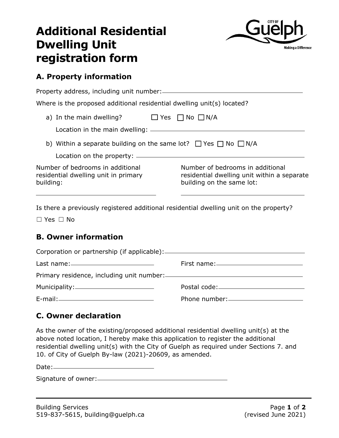# **Additional Residential Dwelling Unit registration form**



## **A. Property information**

Property address, including unit number: Where is the proposed additional residential dwelling unit(s) located? a) In the main dwelling?  $□$  Yes  $□$  No  $□$  N/A

b) Within a separate building on the same lot?  $\Box$  Yes  $\Box$  No  $\Box$  N/A

Location on the property:

Location in the main dwelling:

Number of bedrooms in additional residential dwelling unit in primary building:

Number of bedrooms in additional residential dwelling unit within a separate building on the same lot:

Is there a previously registered additional residential dwelling unit on the property?

☐ Yes ☐ No

## **B. Owner information**

## **C. Owner declaration**

As the owner of the existing/proposed additional residential dwelling unit(s) at the above noted location, I hereby make this application to register the additional residential dwelling unit(s) with the City of Guelph as required under Sections 7. and 10. of City of Guelph By-law (2021)-20609, as amended.

Date:

Signature of owner: